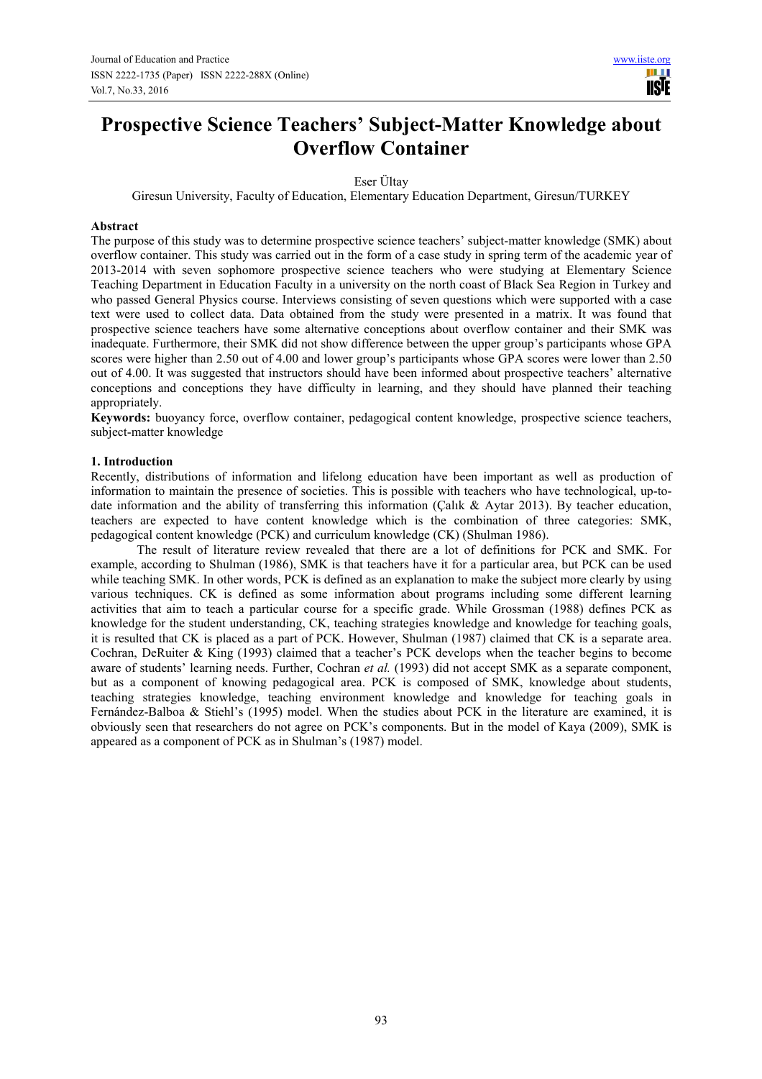# **Prospective Science Teachers' Subject-Matter Knowledge about Overflow Container**

Eser Ültay

Giresun University, Faculty of Education, Elementary Education Department, Giresun/TURKEY

#### **Abstract**

The purpose of this study was to determine prospective science teachers' subject-matter knowledge (SMK) about overflow container. This study was carried out in the form of a case study in spring term of the academic year of 2013-2014 with seven sophomore prospective science teachers who were studying at Elementary Science Teaching Department in Education Faculty in a university on the north coast of Black Sea Region in Turkey and who passed General Physics course. Interviews consisting of seven questions which were supported with a case text were used to collect data. Data obtained from the study were presented in a matrix. It was found that prospective science teachers have some alternative conceptions about overflow container and their SMK was inadequate. Furthermore, their SMK did not show difference between the upper group's participants whose GPA scores were higher than 2.50 out of 4.00 and lower group's participants whose GPA scores were lower than 2.50 out of 4.00. It was suggested that instructors should have been informed about prospective teachers' alternative conceptions and conceptions they have difficulty in learning, and they should have planned their teaching appropriately.

**Keywords:** buoyancy force, overflow container, pedagogical content knowledge, prospective science teachers, subject-matter knowledge

## **1. Introduction**

Recently, distributions of information and lifelong education have been important as well as production of information to maintain the presence of societies. This is possible with teachers who have technological, up-todate information and the ability of transferring this information (Çalık & Aytar 2013). By teacher education, teachers are expected to have content knowledge which is the combination of three categories: SMK, pedagogical content knowledge (PCK) and curriculum knowledge (CK) (Shulman 1986).

The result of literature review revealed that there are a lot of definitions for PCK and SMK. For example, according to Shulman (1986), SMK is that teachers have it for a particular area, but PCK can be used while teaching SMK. In other words, PCK is defined as an explanation to make the subject more clearly by using various techniques. CK is defined as some information about programs including some different learning activities that aim to teach a particular course for a specific grade. While Grossman (1988) defines PCK as knowledge for the student understanding, CK, teaching strategies knowledge and knowledge for teaching goals, it is resulted that CK is placed as a part of PCK. However, Shulman (1987) claimed that CK is a separate area. Cochran, DeRuiter & King (1993) claimed that a teacher's PCK develops when the teacher begins to become aware of students' learning needs. Further, Cochran *et al.* (1993) did not accept SMK as a separate component, but as a component of knowing pedagogical area. PCK is composed of SMK, knowledge about students, teaching strategies knowledge, teaching environment knowledge and knowledge for teaching goals in Fernández-Balboa & Stiehl's (1995) model. When the studies about PCK in the literature are examined, it is obviously seen that researchers do not agree on PCK's components. But in the model of Kaya (2009), SMK is appeared as a component of PCK as in Shulman's (1987) model.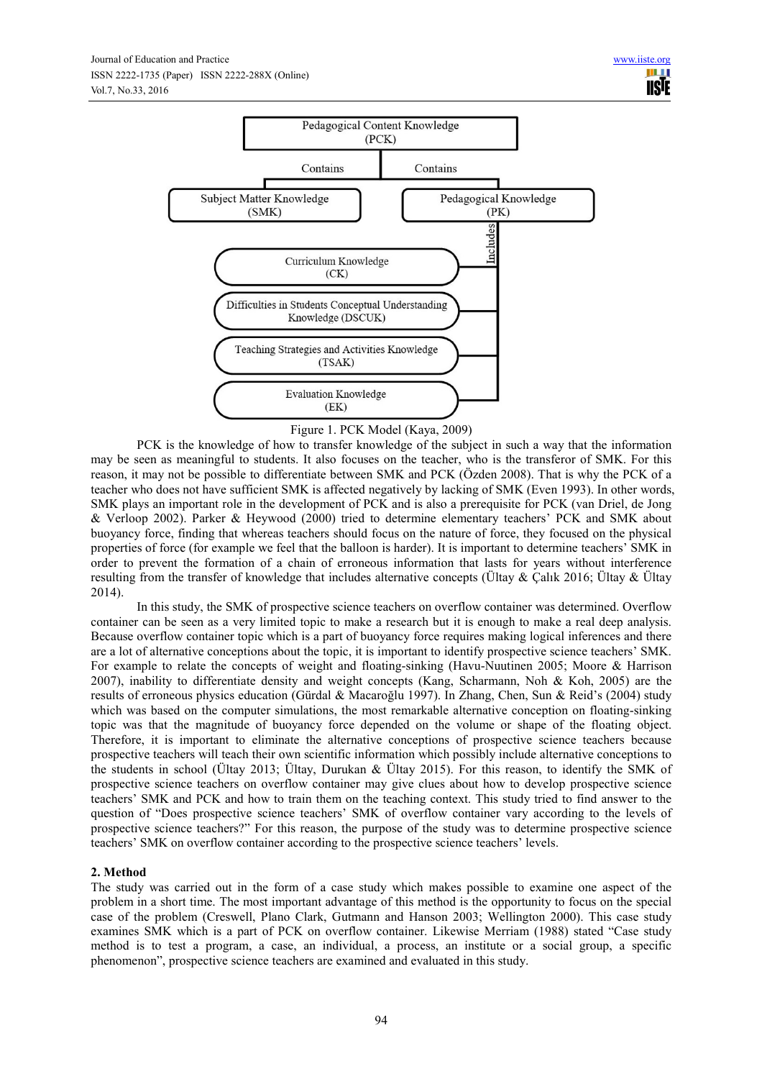

Figure 1. PCK Model (Kaya, 2009)

PCK is the knowledge of how to transfer knowledge of the subject in such a way that the information may be seen as meaningful to students. It also focuses on the teacher, who is the transferor of SMK. For this reason, it may not be possible to differentiate between SMK and PCK (Özden 2008). That is why the PCK of a teacher who does not have sufficient SMK is affected negatively by lacking of SMK (Even 1993). In other words, SMK plays an important role in the development of PCK and is also a prerequisite for PCK (van Driel, de Jong & Verloop 2002). Parker & Heywood (2000) tried to determine elementary teachers' PCK and SMK about buoyancy force, finding that whereas teachers should focus on the nature of force, they focused on the physical properties of force (for example we feel that the balloon is harder). It is important to determine teachers' SMK in order to prevent the formation of a chain of erroneous information that lasts for years without interference resulting from the transfer of knowledge that includes alternative concepts ( $Ü$ ltay &  $C$ alık 2016;  $Ü$ ltay &  $Ü$ ltay 2014).

In this study, the SMK of prospective science teachers on overflow container was determined. Overflow container can be seen as a very limited topic to make a research but it is enough to make a real deep analysis. Because overflow container topic which is a part of buoyancy force requires making logical inferences and there are a lot of alternative conceptions about the topic, it is important to identify prospective science teachers' SMK. For example to relate the concepts of weight and floating-sinking (Havu-Nuutinen 2005; Moore & Harrison 2007), inability to differentiate density and weight concepts (Kang, Scharmann, Noh & Koh, 2005) are the results of erroneous physics education (Gürdal & Macaroğlu 1997). In Zhang, Chen, Sun & Reid's (2004) study which was based on the computer simulations, the most remarkable alternative conception on floating-sinking topic was that the magnitude of buoyancy force depended on the volume or shape of the floating object. Therefore, it is important to eliminate the alternative conceptions of prospective science teachers because prospective teachers will teach their own scientific information which possibly include alternative conceptions to the students in school (Ültay 2013; Ültay, Durukan & Ültay 2015). For this reason, to identify the SMK of prospective science teachers on overflow container may give clues about how to develop prospective science teachers' SMK and PCK and how to train them on the teaching context. This study tried to find answer to the question of "Does prospective science teachers' SMK of overflow container vary according to the levels of prospective science teachers?" For this reason, the purpose of the study was to determine prospective science teachers' SMK on overflow container according to the prospective science teachers' levels.

## **2. Method**

The study was carried out in the form of a case study which makes possible to examine one aspect of the problem in a short time. The most important advantage of this method is the opportunity to focus on the special case of the problem (Creswell, Plano Clark, Gutmann and Hanson 2003; Wellington 2000). This case study examines SMK which is a part of PCK on overflow container. Likewise Merriam (1988) stated "Case study method is to test a program, a case, an individual, a process, an institute or a social group, a specific phenomenon", prospective science teachers are examined and evaluated in this study.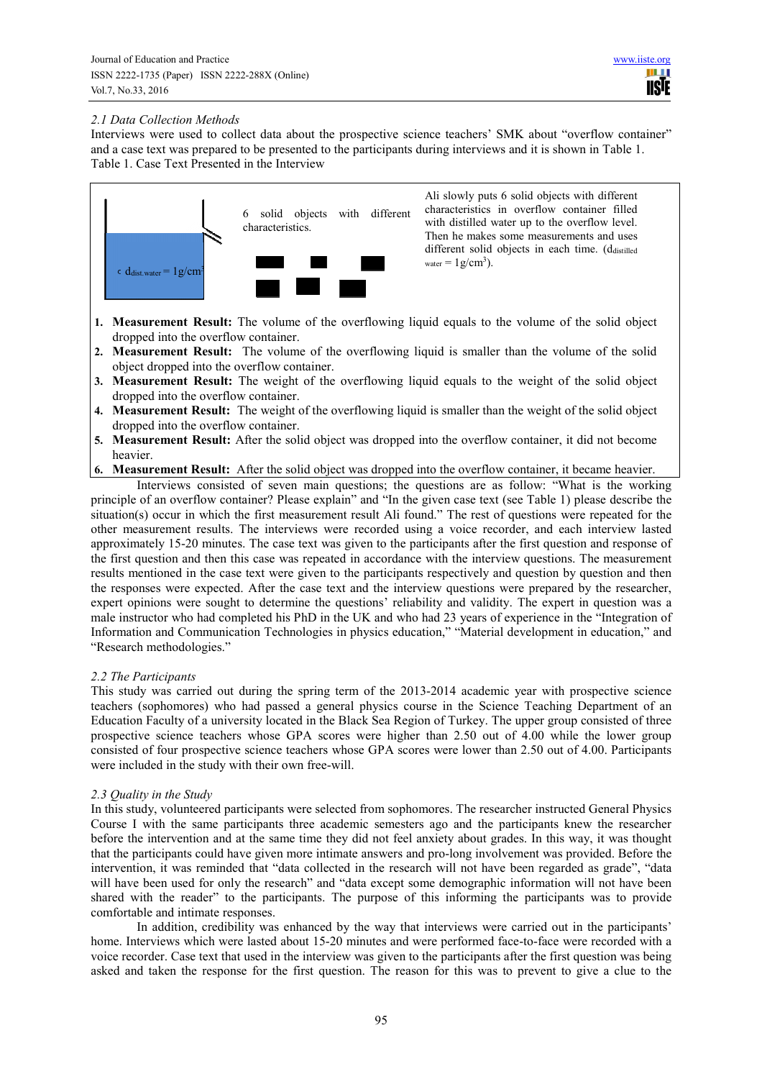## *2.1 Data Collection Methods*

Interviews were used to collect data about the prospective science teachers' SMK about "overflow container" and a case text was prepared to be presented to the participants during interviews and it is shown in Table 1. Table 1. Case Text Presented in the Interview



Ali slowly puts 6 solid objects with different characteristics in overflow container filled with distilled water up to the overflow level. Then he makes some measurements and uses different solid objects in each time. (ddistilled water  $= 1 g/cm<sup>3</sup>$ ).

- **1. Measurement Result:** The volume of the overflowing liquid equals to the volume of the solid object dropped into the overflow container.
- **2. Measurement Result:** The volume of the overflowing liquid is smaller than the volume of the solid object dropped into the overflow container.
- **3. Measurement Result:** The weight of the overflowing liquid equals to the weight of the solid object dropped into the overflow container.
- **4. Measurement Result:** The weight of the overflowing liquid is smaller than the weight of the solid object dropped into the overflow container.
- **5. Measurement Result:** After the solid object was dropped into the overflow container, it did not become heavier.
- **6. Measurement Result:** After the solid object was dropped into the overflow container, it became heavier.

Interviews consisted of seven main questions; the questions are as follow: "What is the working principle of an overflow container? Please explain" and "In the given case text (see Table 1) please describe the situation(s) occur in which the first measurement result Ali found." The rest of questions were repeated for the other measurement results. The interviews were recorded using a voice recorder, and each interview lasted approximately 15-20 minutes. The case text was given to the participants after the first question and response of the first question and then this case was repeated in accordance with the interview questions. The measurement results mentioned in the case text were given to the participants respectively and question by question and then the responses were expected. After the case text and the interview questions were prepared by the researcher, expert opinions were sought to determine the questions' reliability and validity. The expert in question was a male instructor who had completed his PhD in the UK and who had 23 years of experience in the "Integration of Information and Communication Technologies in physics education," "Material development in education," and "Research methodologies."

## *2.2 The Participants*

This study was carried out during the spring term of the 2013-2014 academic year with prospective science teachers (sophomores) who had passed a general physics course in the Science Teaching Department of an Education Faculty of a university located in the Black Sea Region of Turkey. The upper group consisted of three prospective science teachers whose GPA scores were higher than 2.50 out of 4.00 while the lower group consisted of four prospective science teachers whose GPA scores were lower than 2.50 out of 4.00. Participants were included in the study with their own free-will.

## *2.3 Quality in the Study*

In this study, volunteered participants were selected from sophomores. The researcher instructed General Physics Course I with the same participants three academic semesters ago and the participants knew the researcher before the intervention and at the same time they did not feel anxiety about grades. In this way, it was thought that the participants could have given more intimate answers and pro-long involvement was provided. Before the intervention, it was reminded that "data collected in the research will not have been regarded as grade", "data will have been used for only the research" and "data except some demographic information will not have been shared with the reader" to the participants. The purpose of this informing the participants was to provide comfortable and intimate responses.

In addition, credibility was enhanced by the way that interviews were carried out in the participants' home. Interviews which were lasted about 15-20 minutes and were performed face-to-face were recorded with a voice recorder. Case text that used in the interview was given to the participants after the first question was being asked and taken the response for the first question. The reason for this was to prevent to give a clue to the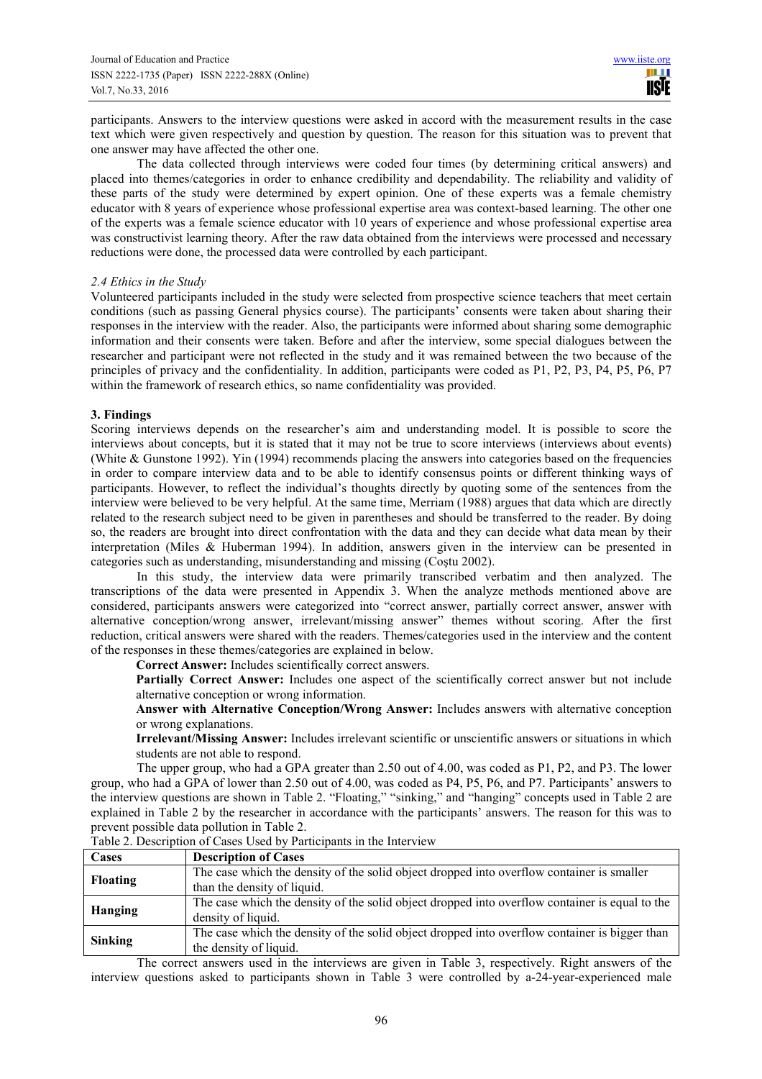participants. Answers to the interview questions were asked in accord with the measurement results in the case text which were given respectively and question by question. The reason for this situation was to prevent that one answer may have affected the other one.

The data collected through interviews were coded four times (by determining critical answers) and placed into themes/categories in order to enhance credibility and dependability. The reliability and validity of these parts of the study were determined by expert opinion. One of these experts was a female chemistry educator with 8 years of experience whose professional expertise area was context-based learning. The other one of the experts was a female science educator with 10 years of experience and whose professional expertise area was constructivist learning theory. After the raw data obtained from the interviews were processed and necessary reductions were done, the processed data were controlled by each participant.

## *2.4 Ethics in the Study*

Volunteered participants included in the study were selected from prospective science teachers that meet certain conditions (such as passing General physics course). The participants' consents were taken about sharing their responses in the interview with the reader. Also, the participants were informed about sharing some demographic information and their consents were taken. Before and after the interview, some special dialogues between the researcher and participant were not reflected in the study and it was remained between the two because of the principles of privacy and the confidentiality. In addition, participants were coded as P1, P2, P3, P4, P5, P6, P7 within the framework of research ethics, so name confidentiality was provided.

## **3. Findings**

Scoring interviews depends on the researcher's aim and understanding model. It is possible to score the interviews about concepts, but it is stated that it may not be true to score interviews (interviews about events) (White & Gunstone 1992). Yin (1994) recommends placing the answers into categories based on the frequencies in order to compare interview data and to be able to identify consensus points or different thinking ways of participants. However, to reflect the individual's thoughts directly by quoting some of the sentences from the interview were believed to be very helpful. At the same time, Merriam (1988) argues that data which are directly related to the research subject need to be given in parentheses and should be transferred to the reader. By doing so, the readers are brought into direct confrontation with the data and they can decide what data mean by their interpretation (Miles & Huberman 1994). In addition, answers given in the interview can be presented in categories such as understanding, misunderstanding and missing (Coştu 2002).

In this study, the interview data were primarily transcribed verbatim and then analyzed. The transcriptions of the data were presented in Appendix 3. When the analyze methods mentioned above are considered, participants answers were categorized into "correct answer, partially correct answer, answer with alternative conception/wrong answer, irrelevant/missing answer" themes without scoring. After the first reduction, critical answers were shared with the readers. Themes/categories used in the interview and the content of the responses in these themes/categories are explained in below.

**Correct Answer:** Includes scientifically correct answers.

**Partially Correct Answer:** Includes one aspect of the scientifically correct answer but not include alternative conception or wrong information.

**Answer with Alternative Conception/Wrong Answer:** Includes answers with alternative conception or wrong explanations.

**Irrelevant/Missing Answer:** Includes irrelevant scientific or unscientific answers or situations in which students are not able to respond.

The upper group, who had a GPA greater than 2.50 out of 4.00, was coded as P1, P2, and P3. The lower group, who had a GPA of lower than 2.50 out of 4.00, was coded as P4, P5, P6, and P7. Participants' answers to the interview questions are shown in Table 2. "Floating," "sinking," and "hanging" concepts used in Table 2 are explained in Table 2 by the researcher in accordance with the participants' answers. The reason for this was to prevent possible data pollution in Table 2.

| Cases           | <b>Description of Cases</b>                                                                    |
|-----------------|------------------------------------------------------------------------------------------------|
|                 | The case which the density of the solid object dropped into overflow container is smaller      |
| <b>Floating</b> | than the density of liquid.                                                                    |
|                 | The case which the density of the solid object dropped into overflow container is equal to the |
| Hanging         | density of liquid.                                                                             |
|                 | The case which the density of the solid object dropped into overflow container is bigger than  |
| Sinking         | the density of liquid.                                                                         |

Table 2. Description of Cases Used by Participants in the Interview

The correct answers used in the interviews are given in Table 3, respectively. Right answers of the interview questions asked to participants shown in Table 3 were controlled by a-24-year-experienced male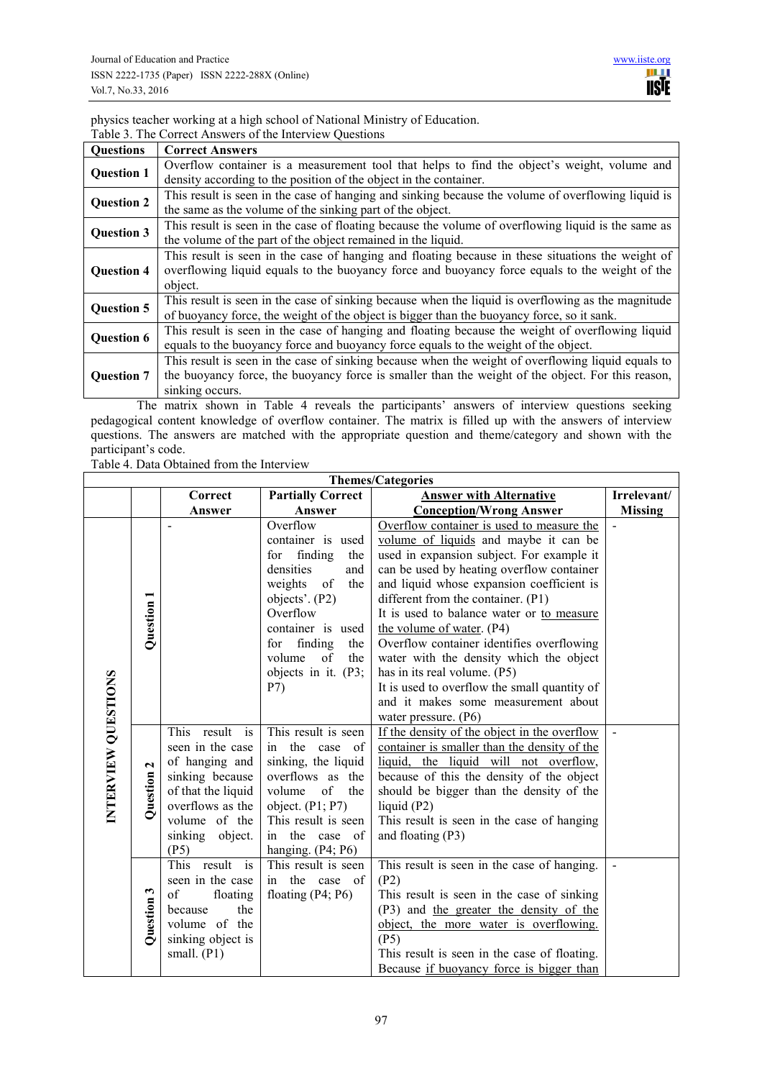physics teacher working at a high school of National Ministry of Education. Table 3. The Correct Answers of the Interview Questions

| <b>Questions</b>  | <b>Correct Answers</b>                                                                              |
|-------------------|-----------------------------------------------------------------------------------------------------|
| <b>Question 1</b> | Overflow container is a measurement tool that helps to find the object's weight, volume and         |
|                   | density according to the position of the object in the container.                                   |
| <b>Question 2</b> | This result is seen in the case of hanging and sinking because the volume of overflowing liquid is  |
|                   | the same as the volume of the sinking part of the object.                                           |
| <b>Question 3</b> | This result is seen in the case of floating because the volume of overflowing liquid is the same as |
|                   | the volume of the part of the object remained in the liquid.                                        |
| <b>Question 4</b> | This result is seen in the case of hanging and floating because in these situations the weight of   |
|                   | overflowing liquid equals to the buoyancy force and buoyancy force equals to the weight of the      |
|                   | object.                                                                                             |
| <b>Question 5</b> | This result is seen in the case of sinking because when the liquid is overflowing as the magnitude  |
|                   | of buoyancy force, the weight of the object is bigger than the buoyancy force, so it sank.          |
| <b>Question 6</b> | This result is seen in the case of hanging and floating because the weight of overflowing liquid    |
|                   | equals to the buoyancy force and buoyancy force equals to the weight of the object.                 |
| <b>Question 7</b> | This result is seen in the case of sinking because when the weight of overflowing liquid equals to  |
|                   | the buoyancy force, the buoyancy force is smaller than the weight of the object. For this reason,   |
|                   | sinking occurs.                                                                                     |

The matrix shown in Table 4 reveals the participants' answers of interview questions seeking pedagogical content knowledge of overflow container. The matrix is filled up with the answers of interview questions. The answers are matched with the appropriate question and theme/category and shown with the participant's code.

Table 4. Data Obtained from the Interview

| <b>Themes/Categories</b> |                          |                                                                                                                                                                  |                                                                                                                                                                                                                                     |                                                                                                                                                                                                                                                                                                                                                                                                                                                                                                                                                                                    |                |  |  |
|--------------------------|--------------------------|------------------------------------------------------------------------------------------------------------------------------------------------------------------|-------------------------------------------------------------------------------------------------------------------------------------------------------------------------------------------------------------------------------------|------------------------------------------------------------------------------------------------------------------------------------------------------------------------------------------------------------------------------------------------------------------------------------------------------------------------------------------------------------------------------------------------------------------------------------------------------------------------------------------------------------------------------------------------------------------------------------|----------------|--|--|
|                          |                          | Correct                                                                                                                                                          | <b>Partially Correct</b>                                                                                                                                                                                                            | <b>Answer with Alternative</b>                                                                                                                                                                                                                                                                                                                                                                                                                                                                                                                                                     | Irrelevant/    |  |  |
|                          |                          | Answer                                                                                                                                                           | Answer                                                                                                                                                                                                                              | <b>Conception/Wrong Answer</b>                                                                                                                                                                                                                                                                                                                                                                                                                                                                                                                                                     | <b>Missing</b> |  |  |
|                          | Question 1               | $\overline{\phantom{m}}$                                                                                                                                         | Overflow<br>container is used<br>finding<br>for<br>the<br>densities<br>and<br>weights<br>of<br>the<br>objects'. (P2)<br>Overflow<br>container is used<br>finding<br>for<br>the<br>volume<br>the<br>of<br>objects in it. (P3;<br>P7) | Overflow container is used to measure the<br>volume of liquids and maybe it can be<br>used in expansion subject. For example it<br>can be used by heating overflow container<br>and liquid whose expansion coefficient is<br>different from the container. (P1)<br>It is used to balance water or to measure<br>the volume of water. (P4)<br>Overflow container identifies overflowing<br>water with the density which the object<br>has in its real volume. (P5)<br>It is used to overflow the small quantity of<br>and it makes some measurement about<br>water pressure. $(P6)$ |                |  |  |
| INTERVIEW QUESTIONS      | $\mathbf{z}$<br>Question | This<br>result is<br>seen in the case<br>of hanging and<br>sinking because<br>of that the liquid<br>overflows as the<br>volume of the<br>sinking object.<br>(P5) | This result is seen<br>in the case of<br>sinking, the liquid<br>overflows as the<br>volume<br>of the<br>object. $(P1; P7)$<br>This result is seen<br>in the case of<br>hanging. $(P4; P6)$                                          | If the density of the object in the overflow<br>container is smaller than the density of the<br>liquid, the liquid will not overflow,<br>because of this the density of the object<br>should be bigger than the density of the<br>liquid $(P2)$<br>This result is seen in the case of hanging<br>and floating (P3)                                                                                                                                                                                                                                                                 |                |  |  |
|                          | S<br>Question            | This<br>result is<br>seen in the case<br>of<br>floating<br>the<br>because<br>volume of the<br>sinking object is<br>small. $(P1)$                                 | This result is seen<br>in the case of<br>floating $(P4; P6)$                                                                                                                                                                        | This result is seen in the case of hanging.<br>(P2)<br>This result is seen in the case of sinking<br>(P3) and the greater the density of the<br>object, the more water is overflowing.<br>(P5)<br>This result is seen in the case of floating.<br>Because if buoyancy force is bigger than                                                                                                                                                                                                                                                                                         |                |  |  |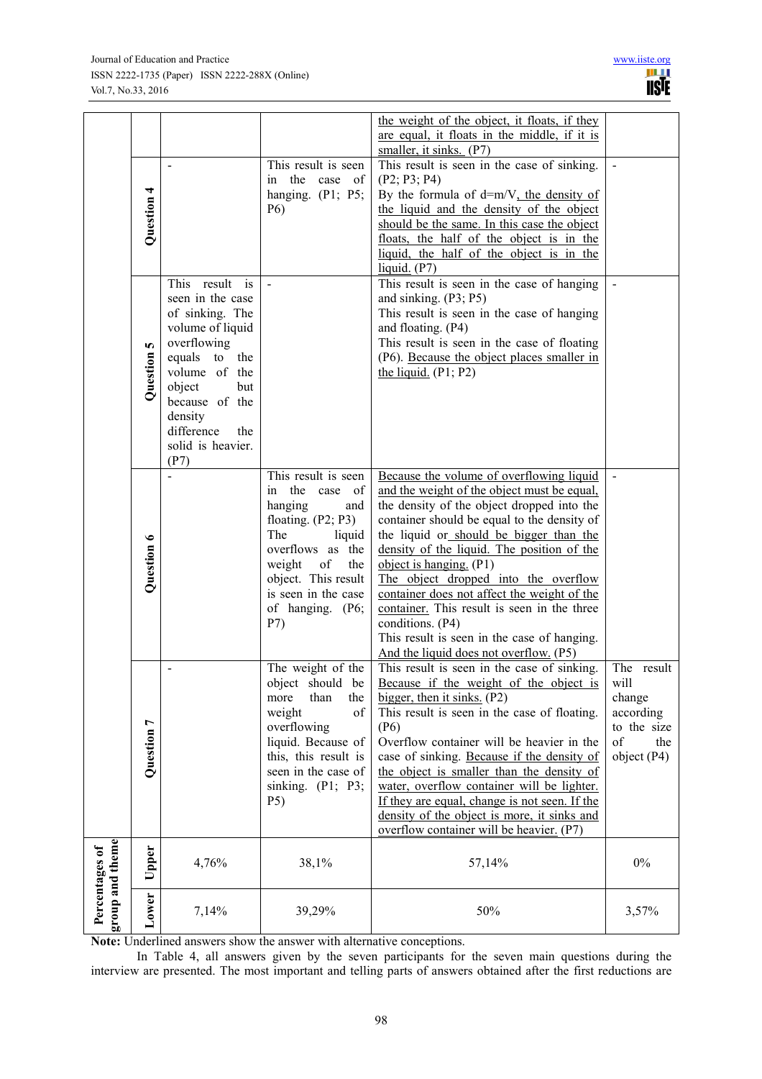|                                   |            |                                        |                                               | the weight of the object, it floats, if they<br>are equal, it floats in the middle, if it is<br>smaller, it sinks. $(P7)$ |                          |
|-----------------------------------|------------|----------------------------------------|-----------------------------------------------|---------------------------------------------------------------------------------------------------------------------------|--------------------------|
|                                   |            | $\blacksquare$                         | This result is seen<br>in the<br>case<br>- of | This result is seen in the case of sinking.<br>(P2; P3; P4)                                                               |                          |
|                                   | Question 4 |                                        | hanging. $(P1; P5;$<br>P <sub>6</sub> )       | By the formula of $d=m/V$ , the density of<br>the liquid and the density of the object                                    |                          |
|                                   |            |                                        |                                               | should be the same. In this case the object                                                                               |                          |
|                                   |            |                                        |                                               | floats, the half of the object is in the                                                                                  |                          |
|                                   |            |                                        |                                               | liquid, the half of the object is in the<br>liquid. (P7)                                                                  |                          |
|                                   |            | This result<br>is                      | $\blacksquare$                                | This result is seen in the case of hanging                                                                                | $\mathbf{r}$             |
|                                   |            | seen in the case                       |                                               | and sinking. (P3; P5)                                                                                                     |                          |
|                                   |            | of sinking. The<br>volume of liquid    |                                               | This result is seen in the case of hanging<br>and floating. (P4)                                                          |                          |
|                                   |            | overflowing                            |                                               | This result is seen in the case of floating                                                                               |                          |
|                                   |            | equals<br>to<br>the                    |                                               | (P6). Because the object places smaller in                                                                                |                          |
|                                   | Question 5 | volume of the<br>object<br>but         |                                               | the liquid. $(P1; P2)$                                                                                                    |                          |
|                                   |            | because of the                         |                                               |                                                                                                                           |                          |
|                                   |            | density                                |                                               |                                                                                                                           |                          |
|                                   |            | difference<br>the<br>solid is heavier. |                                               |                                                                                                                           |                          |
|                                   |            | (P7)                                   |                                               |                                                                                                                           |                          |
|                                   |            | $\overline{a}$                         | This result is seen<br>in the case of         | Because the volume of overflowing liquid<br>and the weight of the object must be equal,                                   |                          |
|                                   |            |                                        | hanging<br>and                                | the density of the object dropped into the                                                                                |                          |
|                                   |            |                                        | floating. $(P2; P3)$                          | container should be equal to the density of                                                                               |                          |
|                                   |            |                                        | The<br>liquid<br>overflows as the             | the liquid or should be bigger than the<br>density of the liquid. The position of the                                     |                          |
|                                   | Question 6 |                                        | weight<br>of<br>the                           | object is hanging. $(P1)$                                                                                                 |                          |
|                                   |            |                                        | object. This result                           | The object dropped into the overflow                                                                                      |                          |
|                                   |            |                                        | is seen in the case<br>of hanging. (P6;       | container does not affect the weight of the<br>container. This result is seen in the three                                |                          |
|                                   |            |                                        | P7)                                           | conditions. (P4)                                                                                                          |                          |
|                                   |            |                                        |                                               | This result is seen in the case of hanging.<br>And the liquid does not overflow. (P5)                                     |                          |
|                                   |            |                                        | The weight of the                             | This result is seen in the case of sinking.                                                                               | The result               |
|                                   |            |                                        | object should be                              | Because if the weight of the object is will                                                                               |                          |
|                                   |            |                                        | than<br>the<br>more<br>weight<br>of           | bigger, then it sinks. $(P2)$<br>This result is seen in the case of floating.                                             | change<br>according      |
|                                   |            |                                        | overflowing                                   | (P6)                                                                                                                      | to the size              |
|                                   | Question 7 |                                        | liquid. Because of<br>this, this result is    | Overflow container will be heavier in the<br>case of sinking. Because if the density of                                   | of<br>the<br>object (P4) |
|                                   |            |                                        | seen in the case of                           | the object is smaller than the density of                                                                                 |                          |
|                                   |            |                                        | sinking. $(P1; P3;$                           | water, overflow container will be lighter.                                                                                |                          |
|                                   |            |                                        | P <sub>5</sub> )                              | If they are equal, change is not seen. If the<br>density of the object is more, it sinks and                              |                          |
|                                   |            |                                        |                                               | overflow container will be heavier. (P7)                                                                                  |                          |
| group and theme<br>Percentages of | Upper      | 4,76%                                  | 38,1%                                         | 57,14%                                                                                                                    | $0\%$                    |
|                                   |            |                                        |                                               |                                                                                                                           |                          |
|                                   |            |                                        |                                               |                                                                                                                           |                          |
|                                   | Lower      | 7,14%                                  | 39,29%                                        | 50%                                                                                                                       | 3,57%                    |

**Note:** Underlined answers show the answer with alternative conceptions.

In Table 4, all answers given by the seven participants for the seven main questions during the interview are presented. The most important and telling parts of answers obtained after the first reductions are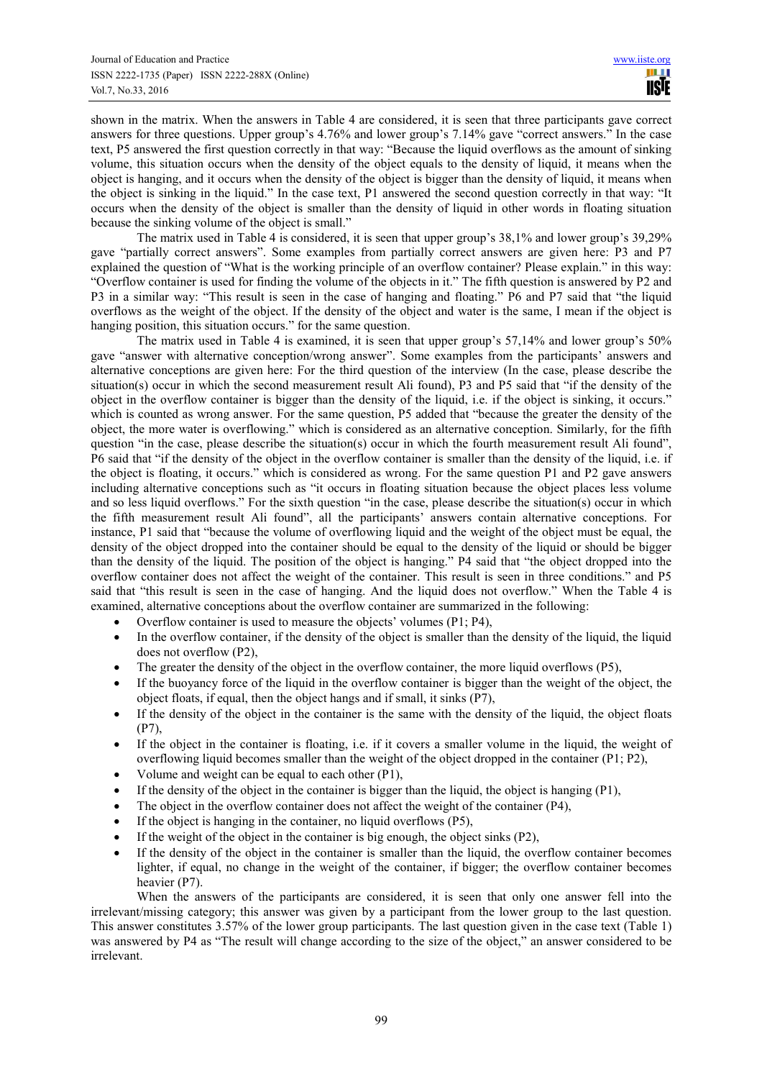shown in the matrix. When the answers in Table 4 are considered, it is seen that three participants gave correct answers for three questions. Upper group's 4.76% and lower group's 7.14% gave "correct answers." In the case text, P5 answered the first question correctly in that way: "Because the liquid overflows as the amount of sinking volume, this situation occurs when the density of the object equals to the density of liquid, it means when the object is hanging, and it occurs when the density of the object is bigger than the density of liquid, it means when the object is sinking in the liquid." In the case text, P1 answered the second question correctly in that way: "It occurs when the density of the object is smaller than the density of liquid in other words in floating situation because the sinking volume of the object is small."

The matrix used in Table 4 is considered, it is seen that upper group's 38,1% and lower group's 39,29% gave "partially correct answers". Some examples from partially correct answers are given here: P3 and P7 explained the question of "What is the working principle of an overflow container? Please explain." in this way: "Overflow container is used for finding the volume of the objects in it." The fifth question is answered by P2 and P3 in a similar way: "This result is seen in the case of hanging and floating." P6 and P7 said that "the liquid overflows as the weight of the object. If the density of the object and water is the same, I mean if the object is hanging position, this situation occurs." for the same question.

The matrix used in Table 4 is examined, it is seen that upper group's 57,14% and lower group's 50% gave "answer with alternative conception/wrong answer". Some examples from the participants' answers and alternative conceptions are given here: For the third question of the interview (In the case, please describe the situation(s) occur in which the second measurement result Ali found), P3 and P5 said that "if the density of the object in the overflow container is bigger than the density of the liquid, i.e. if the object is sinking, it occurs." which is counted as wrong answer. For the same question, P5 added that "because the greater the density of the object, the more water is overflowing." which is considered as an alternative conception. Similarly, for the fifth question "in the case, please describe the situation(s) occur in which the fourth measurement result Ali found", P6 said that "if the density of the object in the overflow container is smaller than the density of the liquid, i.e. if the object is floating, it occurs." which is considered as wrong. For the same question P1 and P2 gave answers including alternative conceptions such as "it occurs in floating situation because the object places less volume and so less liquid overflows." For the sixth question "in the case, please describe the situation(s) occur in which the fifth measurement result Ali found", all the participants' answers contain alternative conceptions. For instance, P1 said that "because the volume of overflowing liquid and the weight of the object must be equal, the density of the object dropped into the container should be equal to the density of the liquid or should be bigger than the density of the liquid. The position of the object is hanging." P4 said that "the object dropped into the overflow container does not affect the weight of the container. This result is seen in three conditions." and P5 said that "this result is seen in the case of hanging. And the liquid does not overflow." When the Table 4 is examined, alternative conceptions about the overflow container are summarized in the following:

- Overflow container is used to measure the objects' volumes (P1; P4),
- In the overflow container, if the density of the object is smaller than the density of the liquid, the liquid does not overflow (P2),
- The greater the density of the object in the overflow container, the more liquid overflows (P5),
- If the buoyancy force of the liquid in the overflow container is bigger than the weight of the object, the object floats, if equal, then the object hangs and if small, it sinks (P7),
- If the density of the object in the container is the same with the density of the liquid, the object floats (P7),
- If the object in the container is floating, i.e. if it covers a smaller volume in the liquid, the weight of overflowing liquid becomes smaller than the weight of the object dropped in the container (P1; P2),
- Volume and weight can be equal to each other (P1),
- If the density of the object in the container is bigger than the liquid, the object is hanging  $(P1)$ ,
- The object in the overflow container does not affect the weight of the container (P4),
- If the object is hanging in the container, no liquid overflows  $(P5)$ ,
- If the weight of the object in the container is big enough, the object sinks  $(P2)$ ,
- If the density of the object in the container is smaller than the liquid, the overflow container becomes lighter, if equal, no change in the weight of the container, if bigger; the overflow container becomes heavier (P7).

When the answers of the participants are considered, it is seen that only one answer fell into the irrelevant/missing category; this answer was given by a participant from the lower group to the last question. This answer constitutes 3.57% of the lower group participants. The last question given in the case text (Table 1) was answered by P4 as "The result will change according to the size of the object," an answer considered to be irrelevant.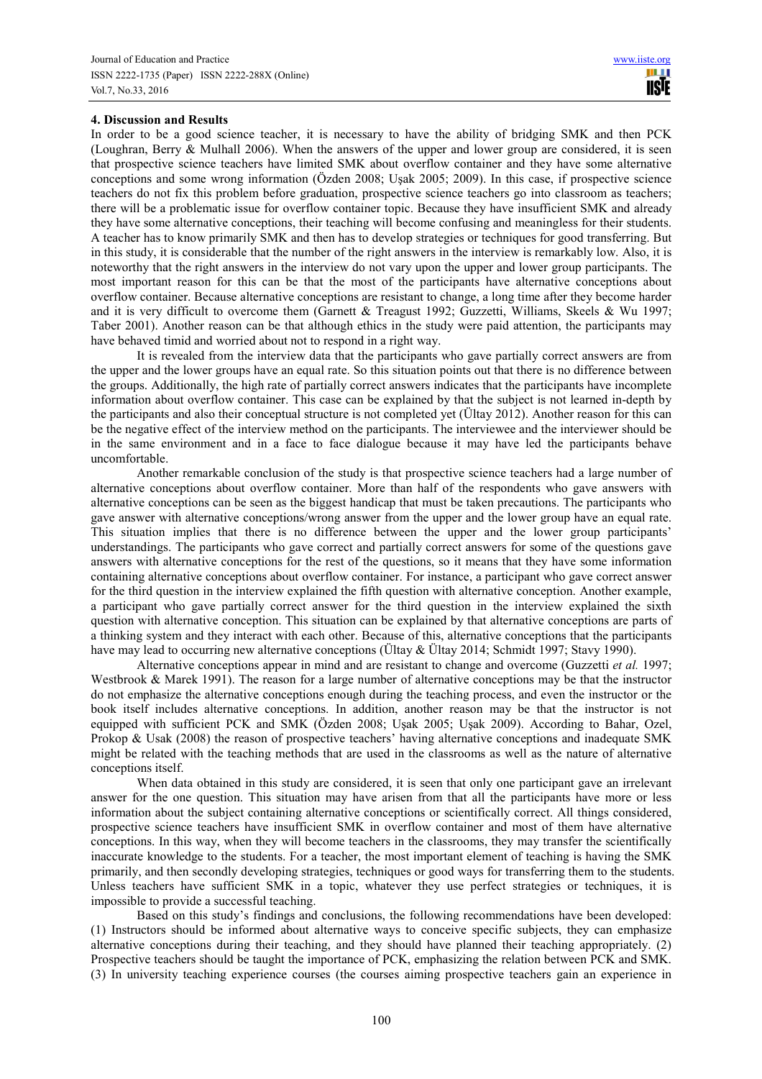## **4. Discussion and Results**

In order to be a good science teacher, it is necessary to have the ability of bridging SMK and then PCK (Loughran, Berry & Mulhall 2006). When the answers of the upper and lower group are considered, it is seen that prospective science teachers have limited SMK about overflow container and they have some alternative conceptions and some wrong information (Özden 2008; Uşak 2005; 2009). In this case, if prospective science teachers do not fix this problem before graduation, prospective science teachers go into classroom as teachers; there will be a problematic issue for overflow container topic. Because they have insufficient SMK and already they have some alternative conceptions, their teaching will become confusing and meaningless for their students. A teacher has to know primarily SMK and then has to develop strategies or techniques for good transferring. But in this study, it is considerable that the number of the right answers in the interview is remarkably low. Also, it is noteworthy that the right answers in the interview do not vary upon the upper and lower group participants. The most important reason for this can be that the most of the participants have alternative conceptions about overflow container. Because alternative conceptions are resistant to change, a long time after they become harder and it is very difficult to overcome them (Garnett & Treagust 1992; Guzzetti, Williams, Skeels & Wu 1997; Taber 2001). Another reason can be that although ethics in the study were paid attention, the participants may have behaved timid and worried about not to respond in a right way.

It is revealed from the interview data that the participants who gave partially correct answers are from the upper and the lower groups have an equal rate. So this situation points out that there is no difference between the groups. Additionally, the high rate of partially correct answers indicates that the participants have incomplete information about overflow container. This case can be explained by that the subject is not learned in-depth by the participants and also their conceptual structure is not completed yet (Ültay 2012). Another reason for this can be the negative effect of the interview method on the participants. The interviewee and the interviewer should be in the same environment and in a face to face dialogue because it may have led the participants behave uncomfortable.

Another remarkable conclusion of the study is that prospective science teachers had a large number of alternative conceptions about overflow container. More than half of the respondents who gave answers with alternative conceptions can be seen as the biggest handicap that must be taken precautions. The participants who gave answer with alternative conceptions/wrong answer from the upper and the lower group have an equal rate. This situation implies that there is no difference between the upper and the lower group participants' understandings. The participants who gave correct and partially correct answers for some of the questions gave answers with alternative conceptions for the rest of the questions, so it means that they have some information containing alternative conceptions about overflow container. For instance, a participant who gave correct answer for the third question in the interview explained the fifth question with alternative conception. Another example, a participant who gave partially correct answer for the third question in the interview explained the sixth question with alternative conception. This situation can be explained by that alternative conceptions are parts of a thinking system and they interact with each other. Because of this, alternative conceptions that the participants have may lead to occurring new alternative conceptions (Ültay & Ültay 2014; Schmidt 1997; Stavy 1990).

Alternative conceptions appear in mind and are resistant to change and overcome (Guzzetti *et al.* 1997; Westbrook & Marek 1991). The reason for a large number of alternative conceptions may be that the instructor do not emphasize the alternative conceptions enough during the teaching process, and even the instructor or the book itself includes alternative conceptions. In addition, another reason may be that the instructor is not equipped with sufficient PCK and SMK (Özden 2008; Usak 2005; Uşak 2009). According to Bahar, Ozel, Prokop & Usak (2008) the reason of prospective teachers' having alternative conceptions and inadequate SMK might be related with the teaching methods that are used in the classrooms as well as the nature of alternative conceptions itself.

When data obtained in this study are considered, it is seen that only one participant gave an irrelevant answer for the one question. This situation may have arisen from that all the participants have more or less information about the subject containing alternative conceptions or scientifically correct. All things considered, prospective science teachers have insufficient SMK in overflow container and most of them have alternative conceptions. In this way, when they will become teachers in the classrooms, they may transfer the scientifically inaccurate knowledge to the students. For a teacher, the most important element of teaching is having the SMK primarily, and then secondly developing strategies, techniques or good ways for transferring them to the students. Unless teachers have sufficient SMK in a topic, whatever they use perfect strategies or techniques, it is impossible to provide a successful teaching.

Based on this study's findings and conclusions, the following recommendations have been developed: (1) Instructors should be informed about alternative ways to conceive specific subjects, they can emphasize alternative conceptions during their teaching, and they should have planned their teaching appropriately. (2) Prospective teachers should be taught the importance of PCK, emphasizing the relation between PCK and SMK. (3) In university teaching experience courses (the courses aiming prospective teachers gain an experience in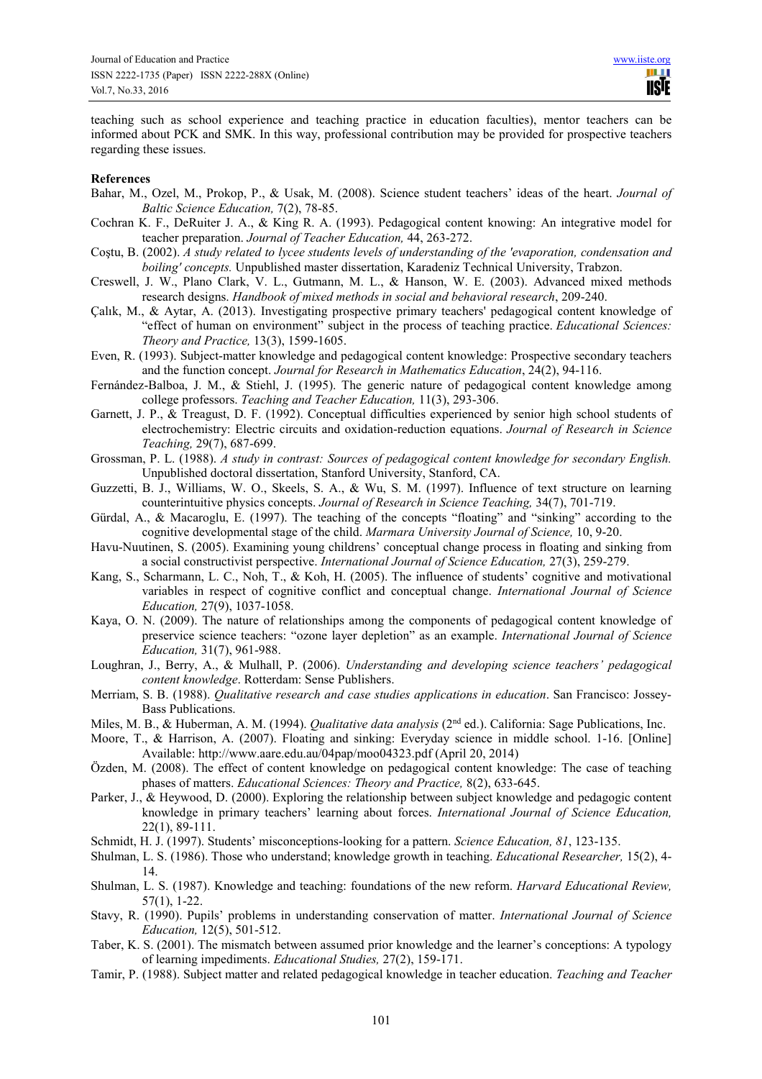teaching such as school experience and teaching practice in education faculties), mentor teachers can be informed about PCK and SMK. In this way, professional contribution may be provided for prospective teachers regarding these issues.

#### **References**

- Bahar, M., Ozel, M., Prokop, P., & Usak, M. (2008). Science student teachers' ideas of the heart. *Journal of Baltic Science Education,* 7(2), 78-85.
- Cochran K. F., DeRuiter J. A., & King R. A. (1993). Pedagogical content knowing: An integrative model for teacher preparation. *Journal of Teacher Education,* 44, 263-272.
- Coştu, B. (2002). *A study related to lycee students levels of understanding of the 'evaporation, condensation and boiling' concepts.* Unpublished master dissertation, Karadeniz Technical University, Trabzon.
- Creswell, J. W., Plano Clark, V. L., Gutmann, M. L., & Hanson, W. E. (2003). Advanced mixed methods research designs. *Handbook of mixed methods in social and behavioral research*, 209-240.
- Çalık, M., & Aytar, A. (2013). Investigating prospective primary teachers' pedagogical content knowledge of "effect of human on environment" subject in the process of teaching practice. *Educational Sciences: Theory and Practice,* 13(3), 1599-1605.
- Even, R. (1993). Subject-matter knowledge and pedagogical content knowledge: Prospective secondary teachers and the function concept. *Journal for Research in Mathematics Education*, 24(2), 94-116.
- Fernández-Balboa, J. M., & Stiehl, J. (1995). The generic nature of pedagogical content knowledge among college professors. *Teaching and Teacher Education,* 11(3), 293-306.
- Garnett, J. P., & Treagust, D. F. (1992). Conceptual difficulties experienced by senior high school students of electrochemistry: Electric circuits and oxidation-reduction equations. *Journal of Research in Science Teaching,* 29(7), 687-699.
- Grossman, P. L. (1988). *A study in contrast: Sources of pedagogical content knowledge for secondary English.* Unpublished doctoral dissertation, Stanford University, Stanford, CA.
- Guzzetti, B. J., Williams, W. O., Skeels, S. A., & Wu, S. M. (1997). Influence of text structure on learning counterintuitive physics concepts. *Journal of Research in Science Teaching,* 34(7), 701-719.
- Gürdal, A., & Macaroglu, E. (1997). The teaching of the concepts "floating" and "sinking" according to the cognitive developmental stage of the child. *Marmara University Journal of Science,* 10, 9-20.
- Havu-Nuutinen, S. (2005). Examining young childrens' conceptual change process in floating and sinking from a social constructivist perspective. *International Journal of Science Education,* 27(3), 259-279.
- Kang, S., Scharmann, L. C., Noh, T., & Koh, H. (2005). The influence of students' cognitive and motivational variables in respect of cognitive conflict and conceptual change. *International Journal of Science Education,* 27(9), 1037-1058.
- Kaya, O. N. (2009). The nature of relationships among the components of pedagogical content knowledge of preservice science teachers: "ozone layer depletion" as an example. *International Journal of Science Education,* 31(7), 961-988.
- Loughran, J., Berry, A., & Mulhall, P. (2006). *Understanding and developing science teachers' pedagogical content knowledge*. Rotterdam: Sense Publishers.
- Merriam, S. B. (1988). *Qualitative research and case studies applications in education*. San Francisco: Jossey-Bass Publications.
- Miles, M. B., & Huberman, A. M. (1994). *Qualitative data analysis* (2<sup>nd</sup> ed.). California: Sage Publications, Inc.
- Moore, T., & Harrison, A. (2007). Floating and sinking: Everyday science in middle school. 1-16. [Online] Available: http://www.aare.edu.au/04pap/moo04323.pdf (April 20, 2014)
- Özden, M. (2008). The effect of content knowledge on pedagogical content knowledge: The case of teaching phases of matters. *Educational Sciences: Theory and Practice,* 8(2), 633-645.
- Parker, J., & Heywood, D. (2000). Exploring the relationship between subject knowledge and pedagogic content knowledge in primary teachers' learning about forces. *International Journal of Science Education,*  22(1), 89-111.
- Schmidt, H. J. (1997). Students' misconceptions-looking for a pattern. *Science Education, 81*, 123-135.
- Shulman, L. S. (1986). Those who understand; knowledge growth in teaching. *Educational Researcher,* 15(2), 4- 14.
- Shulman, L. S. (1987). Knowledge and teaching: foundations of the new reform. *Harvard Educational Review,*  57(1), 1-22.
- Stavy, R. (1990). Pupils' problems in understanding conservation of matter. *International Journal of Science Education,* 12(5), 501-512.
- Taber, K. S. (2001). The mismatch between assumed prior knowledge and the learner's conceptions: A typology of learning impediments. *Educational Studies,* 27(2), 159-171.
- Tamir, P. (1988). Subject matter and related pedagogical knowledge in teacher education. *Teaching and Teacher*